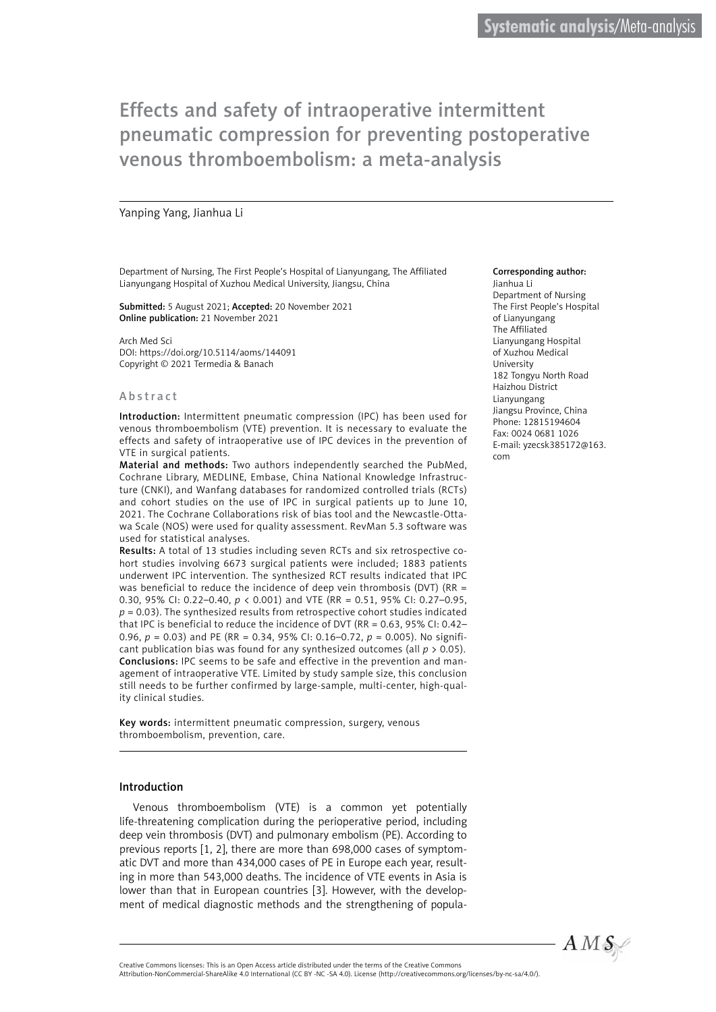#### Yanping Yang, Jianhua Li

Department of Nursing, The First People's Hospital of Lianyungang, The Affiliated Lianyungang Hospital of Xuzhou Medical University, Jiangsu, China

Submitted: 5 August 2021; Accepted: 20 November 2021 Online publication: 21 November 2021

Arch Med Sci DOI: https://doi.org/10.5114/aoms/144091 Copyright © 2021 Termedia & Banach

#### Abstract

Introduction: Intermittent pneumatic compression (IPC) has been used for venous thromboembolism (VTE) prevention. It is necessary to evaluate the effects and safety of intraoperative use of IPC devices in the prevention of VTE in surgical patients.

Material and methods: Two authors independently searched the PubMed, Cochrane Library, MEDLINE, Embase, China National Knowledge Infrastructure (CNKI), and Wanfang databases for randomized controlled trials (RCTs) and cohort studies on the use of IPC in surgical patients up to June 10, 2021. The Cochrane Collaborations risk of bias tool and the Newcastle-Ottawa Scale (NOS) were used for quality assessment. RevMan 5.3 software was used for statistical analyses.

Results: A total of 13 studies including seven RCTs and six retrospective cohort studies involving 6673 surgical patients were included; 1883 patients underwent IPC intervention. The synthesized RCT results indicated that IPC was beneficial to reduce the incidence of deep vein thrombosis (DVT) (RR = 0.30, 95% CI: 0.22–0.40, *p* < 0.001) and VTE (RR = 0.51, 95% CI: 0.27–0.95, *p* = 0.03). The synthesized results from retrospective cohort studies indicated that IPC is beneficial to reduce the incidence of DVT (RR = 0.63, 95% CI: 0.42– 0.96, *p* = 0.03) and PE (RR = 0.34, 95% CI: 0.16–0.72, *p* = 0.005). No significant publication bias was found for any synthesized outcomes (all *p* > 0.05). Conclusions: IPC seems to be safe and effective in the prevention and management of intraoperative VTE. Limited by study sample size, this conclusion still needs to be further confirmed by large-sample, multi-center, high-quality clinical studies.

Key words: intermittent pneumatic compression, surgery, venous thromboembolism, prevention, care.

#### Introduction

Venous thromboembolism (VTE) is a common yet potentially life-threatening complication during the perioperative period, including deep vein thrombosis (DVT) and pulmonary embolism (PE). According to previous reports [1, 2], there are more than 698,000 cases of symptomatic DVT and more than 434,000 cases of PE in Europe each year, resulting in more than 543,000 deaths. The incidence of VTE events in Asia is lower than that in European countries [3]. However, with the development of medical diagnostic methods and the strengthening of popula-

#### Corresponding author:

Jianhua Li Department of Nursing The First People's Hospital of Lianyungang The Affiliated Lianyungang Hospital of Xuzhou Medical University 182 Tongyu North Road Haizhou District Lianyungang Jiangsu Province, China Phone: 12815194604 Fax: 0024 0681 1026 E-mail: yzecsk385172@163. com



Attribution-NonCommercial-ShareAlike 4.0 International (CC BY -NC -SA 4.0). License (http://creativecommons.org/licenses/by-nc-sa/4.0/).

Creative Commons licenses: This is an Open Access article distributed under the terms of the Creative Commons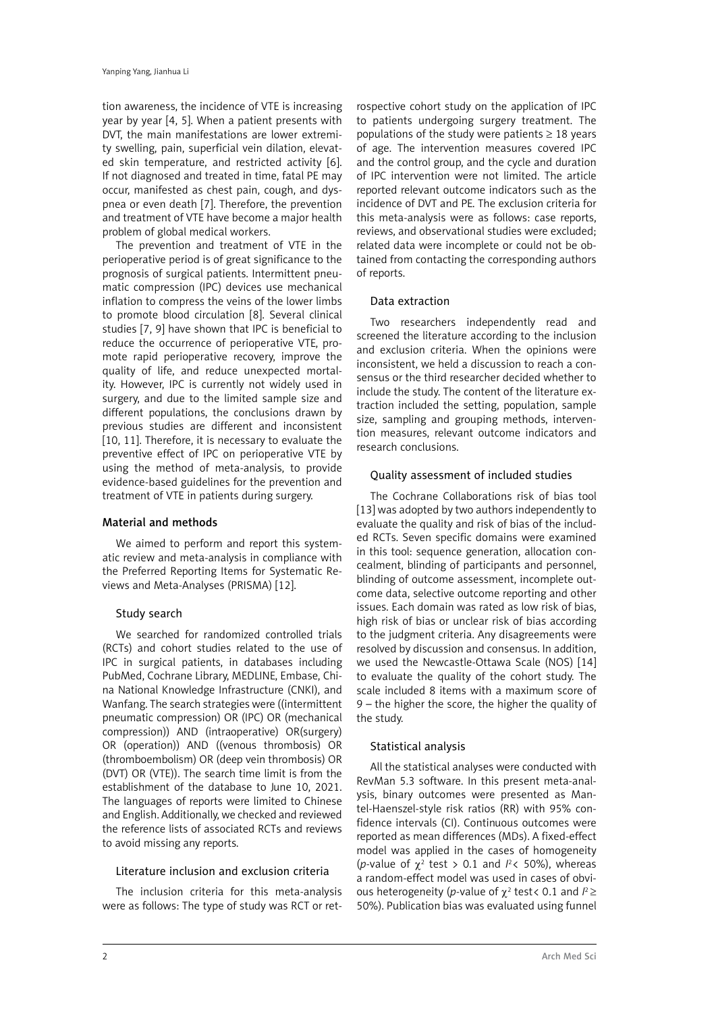tion awareness, the incidence of VTE is increasing year by year [4, 5]. When a patient presents with DVT, the main manifestations are lower extremity swelling, pain, superficial vein dilation, elevated skin temperature, and restricted activity [6]. If not diagnosed and treated in time, fatal PE may occur, manifested as chest pain, cough, and dyspnea or even death [7]. Therefore, the prevention and treatment of VTE have become a major health problem of global medical workers.

The prevention and treatment of VTE in the perioperative period is of great significance to the prognosis of surgical patients. Intermittent pneumatic compression (IPC) devices use mechanical inflation to compress the veins of the lower limbs to promote blood circulation [8]. Several clinical studies [7, 9] have shown that IPC is beneficial to reduce the occurrence of perioperative VTE, promote rapid perioperative recovery, improve the quality of life, and reduce unexpected mortality. However, IPC is currently not widely used in surgery, and due to the limited sample size and different populations, the conclusions drawn by previous studies are different and inconsistent [10, 11]. Therefore, it is necessary to evaluate the preventive effect of IPC on perioperative VTE by using the method of meta-analysis, to provide evidence-based guidelines for the prevention and treatment of VTE in patients during surgery.

#### Material and methods

We aimed to perform and report this systematic review and meta-analysis in compliance with the Preferred Reporting Items for Systematic Reviews and Meta-Analyses (PRISMA) [12].

# Study search

We searched for randomized controlled trials (RCTs) and cohort studies related to the use of IPC in surgical patients, in databases including PubMed, Cochrane Library, MEDLINE, Embase, China National Knowledge Infrastructure (CNKI), and Wanfang. The search strategies were ((intermittent pneumatic compression) OR (IPC) OR (mechanical compression)) AND (intraoperative) OR(surgery) OR (operation)) AND ((venous thrombosis) OR (thromboembolism) OR (deep vein thrombosis) OR (DVT) OR (VTE)). The search time limit is from the establishment of the database to June 10, 2021. The languages of reports were limited to Chinese and English. Additionally, we checked and reviewed the reference lists of associated RCTs and reviews to avoid missing any reports.

#### Literature inclusion and exclusion criteria

The inclusion criteria for this meta-analysis were as follows: The type of study was RCT or ret-

rospective cohort study on the application of IPC to patients undergoing surgery treatment. The populations of the study were patients  $\geq 18$  years of age. The intervention measures covered IPC and the control group, and the cycle and duration of IPC intervention were not limited. The article reported relevant outcome indicators such as the incidence of DVT and PE. The exclusion criteria for this meta-analysis were as follows: case reports, reviews, and observational studies were excluded; related data were incomplete or could not be obtained from contacting the corresponding authors of reports.

## Data extraction

Two researchers independently read and screened the literature according to the inclusion and exclusion criteria. When the opinions were inconsistent, we held a discussion to reach a consensus or the third researcher decided whether to include the study. The content of the literature extraction included the setting, population, sample size, sampling and grouping methods, intervention measures, relevant outcome indicators and research conclusions.

## Quality assessment of included studies

The Cochrane Collaborations risk of bias tool [13] was adopted by two authors independently to evaluate the quality and risk of bias of the included RCTs. Seven specific domains were examined in this tool: sequence generation, allocation concealment, blinding of participants and personnel, blinding of outcome assessment, incomplete outcome data, selective outcome reporting and other issues. Each domain was rated as low risk of bias, high risk of bias or unclear risk of bias according to the judgment criteria. Any disagreements were resolved by discussion and consensus. In addition, we used the Newcastle-Ottawa Scale (NOS) [14] to evaluate the quality of the cohort study. The scale included 8 items with a maximum score of 9 – the higher the score, the higher the quality of the study.

# Statistical analysis

All the statistical analyses were conducted with RevMan 5.3 software. In this present meta-analysis, binary outcomes were presented as Mantel-Haenszel-style risk ratios (RR) with 95% confidence intervals (CI). Continuous outcomes were reported as mean differences (MDs). A fixed-effect model was applied in the cases of homogeneity (*p*-value of  $\chi^2$  test > 0.1 and  $l^2$ < 50%), whereas a random-effect model was used in cases of obvious heterogeneity (*p*-value of χ<sup>2</sup> test< 0.1 and *I* <sup>2</sup>≥ 50%). Publication bias was evaluated using funnel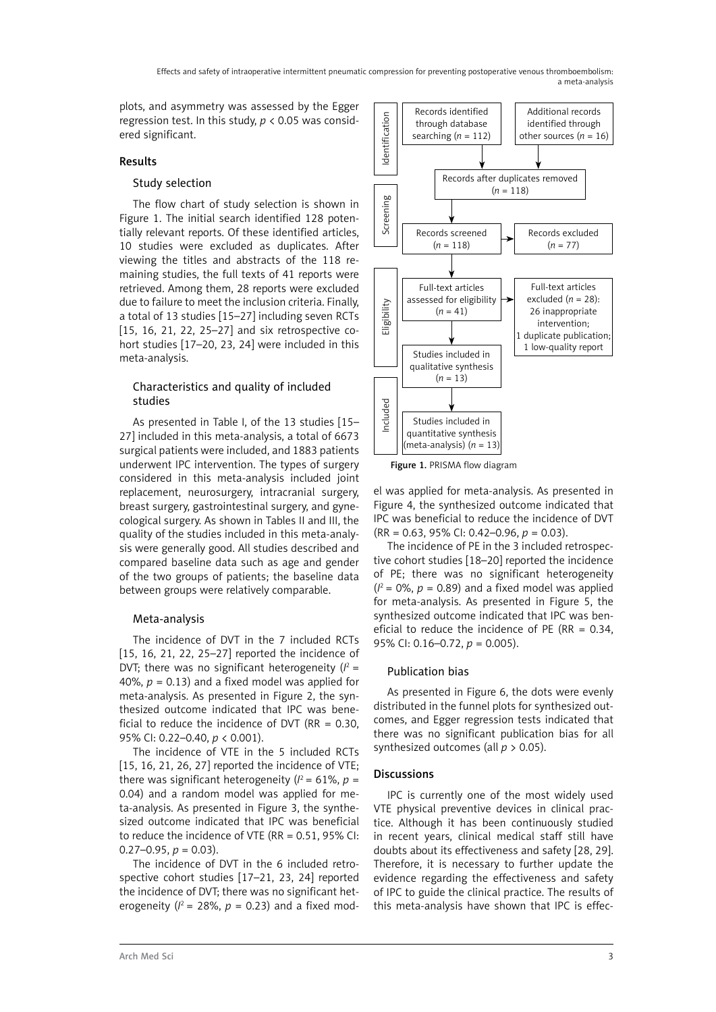plots, and asymmetry was assessed by the Egger regression test. In this study,  $p < 0.05$  was considered significant.

# Results

### Study selection

The flow chart of study selection is shown in Figure 1. The initial search identified 128 potentially relevant reports. Of these identified articles, 10 studies were excluded as duplicates. After viewing the titles and abstracts of the 118 remaining studies, the full texts of 41 reports were retrieved. Among them, 28 reports were excluded due to failure to meet the inclusion criteria. Finally, a total of 13 studies [15–27] including seven RCTs [15, 16, 21, 22, 25-27] and six retrospective cohort studies [17–20, 23, 24] were included in this meta-analysis.

## Characteristics and quality of included studies

As presented in Table I, of the 13 studies [15– 27] included in this meta-analysis, a total of 6673 surgical patients were included, and 1883 patients underwent IPC intervention. The types of surgery considered in this meta-analysis included joint replacement, neurosurgery, intracranial surgery, breast surgery, gastrointestinal surgery, and gynecological surgery. As shown in Tables II and III, the quality of the studies included in this meta-analysis were generally good. All studies described and compared baseline data such as age and gender of the two groups of patients; the baseline data between groups were relatively comparable.

# Meta-analysis

The incidence of DVT in the 7 included RCTs [15, 16, 21, 22, 25–27] reported the incidence of DVT; there was no significant heterogeneity  $(l^2 =$ 40%,  $p = 0.13$ ) and a fixed model was applied for meta-analysis. As presented in Figure 2, the synthesized outcome indicated that IPC was beneficial to reduce the incidence of DVT ( $RR = 0.30$ , 95% CI: 0.22–0.40, *p* < 0.001).

The incidence of VTE in the 5 included RCTs [15, 16, 21, 26, 27] reported the incidence of VTE; there was significant heterogeneity ( $l^2$  = 61%,  $p$  = 0.04) and a random model was applied for meta-analysis. As presented in Figure 3, the synthesized outcome indicated that IPC was beneficial to reduce the incidence of VTE (RR = 0.51, 95% CI:  $0.27-0.95, p = 0.03$ .

The incidence of DVT in the 6 included retrospective cohort studies [17–21, 23, 24] reported the incidence of DVT; there was no significant heterogeneity ( $l^2$  = 28%,  $p$  = 0.23) and a fixed mod-



el was applied for meta-analysis. As presented in Figure 4, the synthesized outcome indicated that IPC was beneficial to reduce the incidence of DVT (RR = 0.63, 95% CI: 0.42–0.96, *p* = 0.03).

The incidence of PE in the 3 included retrospective cohort studies [18–20] reported the incidence of PE; there was no significant heterogeneity  $(1^2 = 0\%, p = 0.89)$  and a fixed model was applied for meta-analysis. As presented in Figure 5, the synthesized outcome indicated that IPC was beneficial to reduce the incidence of PE (RR =  $0.34$ , 95% CI: 0.16–0.72, *p* = 0.005).

# Publication bias

As presented in Figure 6, the dots were evenly distributed in the funnel plots for synthesized outcomes, and Egger regression tests indicated that there was no significant publication bias for all synthesized outcomes (all *p* > 0.05).

# **Discussions**

IPC is currently one of the most widely used VTE physical preventive devices in clinical practice. Although it has been continuously studied in recent years, clinical medical staff still have doubts about its effectiveness and safety [28, 29]. Therefore, it is necessary to further update the evidence regarding the effectiveness and safety of IPC to guide the clinical practice. The results of this meta-analysis have shown that IPC is effec-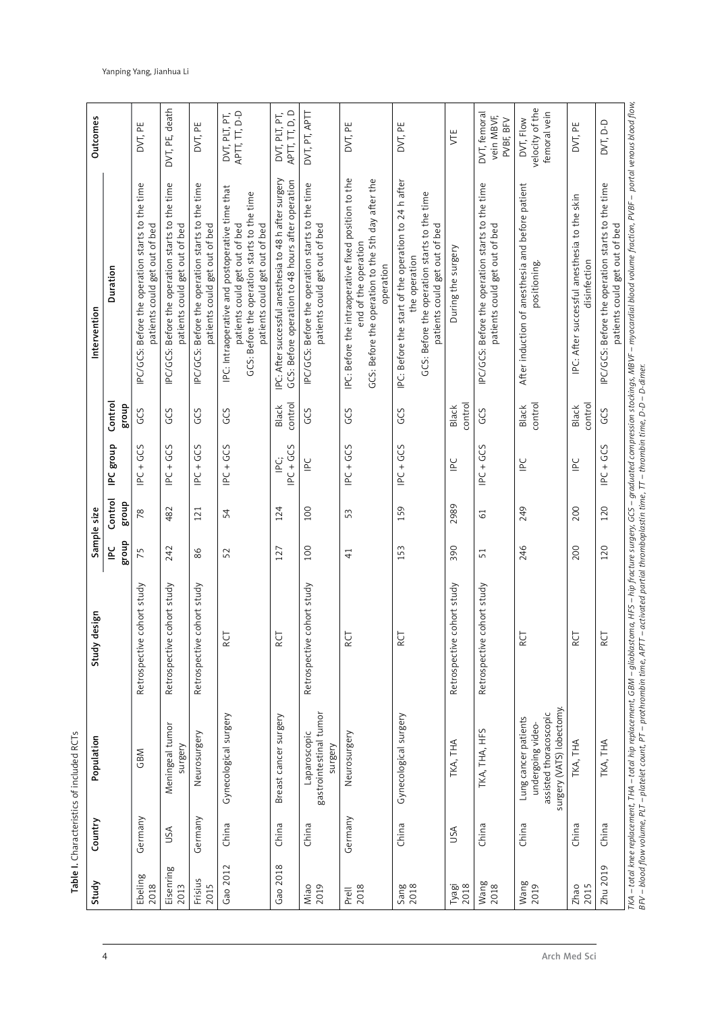| Study             | Country | Population                                                                                       | esign<br>Study d              |               | Sample size      |                                            |                         | Intervention                                                                                                                                                      | <b>Outcomes</b>                              |
|-------------------|---------|--------------------------------------------------------------------------------------------------|-------------------------------|---------------|------------------|--------------------------------------------|-------------------------|-------------------------------------------------------------------------------------------------------------------------------------------------------------------|----------------------------------------------|
|                   |         |                                                                                                  |                               | dnong<br>일    | Control<br>dnong | IPC group                                  | Control<br>group        | Duration                                                                                                                                                          |                                              |
| Ebeling<br>2018   | Germany | GBM                                                                                              | cohort study<br>Retrospective | 75            | 78               | GCS<br>$\overline{P}C$ +                   | GCS                     | IPC/GCS: Before the operation starts to the time<br>patients could get out of bed                                                                                 | DVT, PE                                      |
| Eisenring<br>2013 | USA     | Meningeal tumor<br>surgery                                                                       | cohort study<br>Retrospective | 242           | 482              | IPC + GCS                                  | GCS                     | IPC/GCS: Before the operation starts to the time<br>patients could get out of bed                                                                                 | DVT, PE, death                               |
| Frisius<br>2015   | Germany | Neurosurgery                                                                                     | cohort study<br>Retrospective | 86            | 121              | $PCC + GCS$                                | GCS                     | IPC/GCS: Before the operation starts to the time<br>patients could get out of bed                                                                                 | DVT, PE                                      |
| Gao 2012          | China   | Gynecological surgery                                                                            | RCT                           | 52            | 54               | $PC + GCS$                                 | GCS                     | IPC: Intraoperative and postoperative time that<br>GCS: Before the operation starts to the time<br>patients could get out of bed<br>patients could get out of bed | APTT, TT, D-D<br>DVT, PLT, PT,               |
| Gao 2018          | China   | Breast cancer surgery                                                                            | RCT                           | 127           | 124              | PC + GCS<br>ن<br>ا                         | control<br><b>Black</b> | IPC: After successful anesthesia to 48 h after surgery<br>GCS: Before operation to 48 hours after operation                                                       | APTT, TT, D, D<br>DVT, PLT, PT,              |
| 2019<br>Miao      | China   | gastrointestinal tumor<br>Laparoscopic<br>surgery                                                | Retrospective cohort study    | 100           | 100              | $\mathbf{r}$                               | GCS                     | IPC/GCS: Before the operation starts to the time<br>patients could get out of bed                                                                                 | DVT, PT, APTT                                |
| 2018<br>Prell     | Germany | Neurosurgery                                                                                     | RCT                           | $\frac{1}{4}$ | 53               | $PCC + GCS$                                | GCS                     | IPC: Before the intraoperative fixed position to the<br>GCS: Before the operation to the 5th day after the<br>end of the operation<br>operation                   | DVT, PE                                      |
| Sang<br>2018      | China   | Gynecological surgery                                                                            | RCT                           | 153           | 159              | $PC + GCS$                                 | GCS                     | IPC: Before the start of the operation to 24 h after<br>GCS: Before the operation starts to the time<br>patients could get out of bed<br>the operation            | DVT, PE                                      |
| 2018<br>Tyagi     | USA     | TKA, THA                                                                                         | Retrospective cohort study    | 390           | 2989             | $\mathop{\underline{\mathsf{P}}}\nolimits$ | control<br><b>Black</b> | During the surgery                                                                                                                                                | VTE                                          |
| Wang<br>2018      | China   | TKA, THA, HFS                                                                                    | cohort study<br>Retrospective | 51            | $\overline{6}$   | $PCC + GCS$                                | GCS                     | IPC/GCS: Before the operation starts to the time<br>patients could get out of bed                                                                                 | DVT, femoral<br>vein MBVF,<br>PVBF, BFV      |
| Wang<br>2019      | China   | surgery (VATS) lobectomy.<br>assisted thoracoscopic<br>Lung cancer patients<br>undergoing video- | یخ                            | 246           | 249              | $\subseteq$                                | control<br><b>Black</b> | After induction of anesthesia and before patient<br>positioning.                                                                                                  | velocity of the<br>femoral vein<br>DVT, Flow |
| Zhao<br>2015      | China   | TKA, THA                                                                                         | RCT                           | 200           | 200              | $\mathsf{P}\mathsf{C}$                     | control<br><b>Black</b> | IPC: After successful anesthesia to the skin<br>disinfection                                                                                                      | DVT, PE                                      |
| Zhu 2019          | China   | TKA, THA                                                                                         | یخ                            | 120           | 120              | IPC + GCS                                  | GCS                     | IPC/GCS: Before the operation starts to the time<br>patients could get out of bed                                                                                 | DVT, D-D                                     |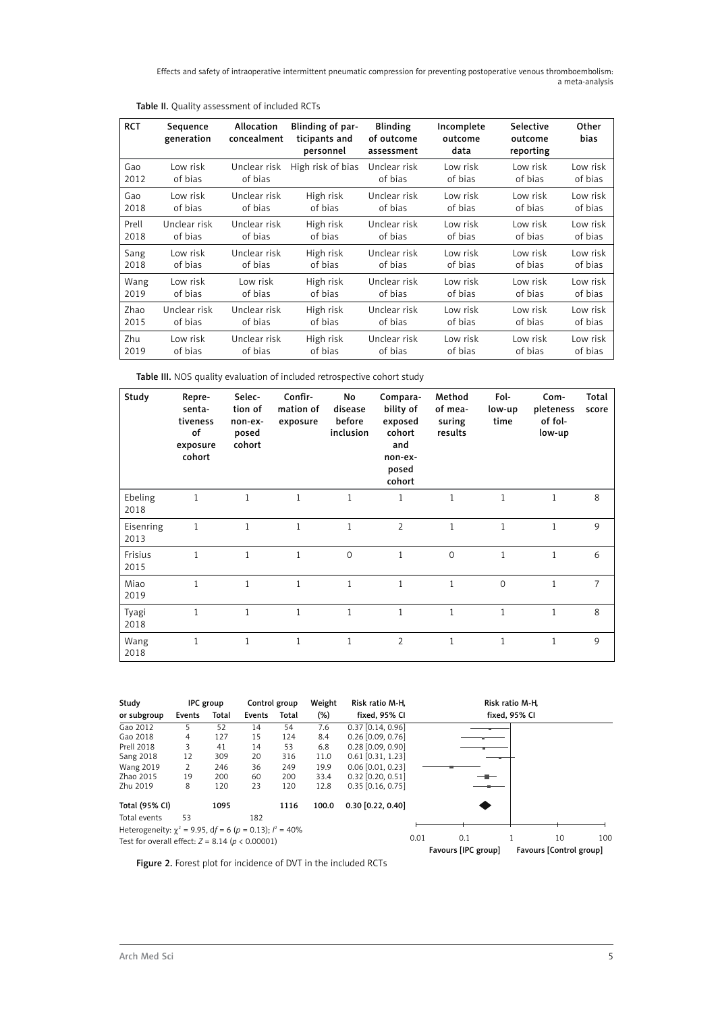| <b>RCT</b> | Sequence<br>generation | Allocation<br>concealment | Blinding of par-<br>ticipants and<br>personnel | <b>Blinding</b><br>of outcome<br>assessment | Incomplete<br>outcome<br>data | Selective<br>outcome<br>reporting | Other<br>bias |
|------------|------------------------|---------------------------|------------------------------------------------|---------------------------------------------|-------------------------------|-----------------------------------|---------------|
| Gao        | Low risk               | Unclear risk              | High risk of bias                              | Unclear risk                                | Low risk                      | Low risk                          | Low risk      |
| 2012       | of bias                | of bias                   |                                                | of bias                                     | of bias                       | of bias                           | of bias       |
| Gao        | Low risk               | Unclear risk              | High risk                                      | Unclear risk                                | Low risk                      | Low risk                          | Low risk      |
| 2018       | of bias                | of bias                   | of bias                                        | of bias                                     | of bias                       | of bias                           | of bias       |
| Prell      | Unclear risk           | Unclear risk              | High risk                                      | Unclear risk                                | Low risk                      | Low risk                          | Low risk      |
| 2018       | of bias                | of bias                   | of bias                                        | of bias                                     | of bias                       | of bias                           | of bias       |
| Sang       | Low risk               | Unclear risk              | High risk                                      | Unclear risk                                | Low risk                      | Low risk                          | Low risk      |
| 2018       | of bias                | of bias                   | of bias                                        | of bias                                     | of bias                       | of bias                           | of bias       |
| Wang       | Low risk               | Low risk                  | High risk                                      | Unclear risk                                | Low risk                      | Low risk                          | Low risk      |
| 2019       | of bias                | of bias                   | of bias                                        | of bias                                     | of bias                       | of bias                           | of bias       |
| Zhao       | Unclear risk           | Unclear risk              | High risk                                      | Unclear risk                                | Low risk                      | Low risk                          | Low risk      |
| 2015       | of bias                | of bias                   | of bias                                        | of bias                                     | of bias                       | of bias                           | of bias       |
| Zhu        | Low risk               | Unclear risk              | High risk                                      | Unclear risk                                | Low risk                      | Low risk                          | Low risk      |
| 2019       | of bias                | of bias                   | of bias                                        | of bias                                     | of bias                       | of bias                           | of bias       |

#### Table II. Quality assessment of included RCTs

Table III. NOS quality evaluation of included retrospective cohort study

| Study             | Repre-<br>senta-<br>tiveness<br>of<br>exposure<br>cohort | Selec-<br>tion of<br>non-ex-<br>posed<br>cohort | Confir-<br>mation of<br>exposure | No<br>disease<br>before<br>inclusion | Compara-<br>bility of<br>exposed<br>cohort<br>and<br>non-ex-<br>posed<br>cohort | Method<br>of mea-<br>suring<br>results | Fol-<br>low-up<br>time | Com-<br>pleteness<br>of fol-<br>low-up | Total<br>score |
|-------------------|----------------------------------------------------------|-------------------------------------------------|----------------------------------|--------------------------------------|---------------------------------------------------------------------------------|----------------------------------------|------------------------|----------------------------------------|----------------|
| Ebeling<br>2018   | $\mathbf{1}$                                             | $\mathbf{1}$                                    | $\mathbf{1}$                     | $\mathbf{1}$                         | $\mathbf{1}$                                                                    | $\mathbf{1}$                           | $\mathbf{1}$           | $\mathbf{1}$                           | 8              |
| Eisenring<br>2013 | $\mathbf{1}$                                             | $\mathbf{1}$                                    | $\mathbf{1}$                     | $\mathbf{1}$                         | $\overline{2}$                                                                  | $\mathbf{1}$                           | $\mathbf{1}$           | $\mathbf{1}$                           | 9              |
| Frisius<br>2015   | $\mathbf{1}$                                             | 1                                               | 1                                | $\mathbf 0$                          | $\mathbf{1}$                                                                    | $\mathbf 0$                            | $\mathbf{1}$           | 1                                      | 6              |
| Miao<br>2019      | $\mathbf{1}$                                             | $\mathbf{1}$                                    | 1                                | $\mathbf{1}$                         | $\mathbf{1}$                                                                    | $\mathbf{1}$                           | $\mathbf{0}$           | 1                                      | $\overline{7}$ |
| Tyagi<br>2018     | $\mathbf{1}$                                             | 1                                               | 1                                | $\mathbf{1}$                         | $\mathbf{1}$                                                                    | $\mathbf{1}$                           | 1                      | 1                                      | 8              |
| Wang<br>2018      | $\mathbf{1}$                                             | $\mathbf{1}$                                    | 1                                | $\mathbf{1}$                         | $\overline{2}$                                                                  | $\mathbf{1}$                           | 1                      | 1                                      | 9              |

| Study                                                          | IPC group |       | Control group         |       | Weight | Risk ratio M-H,     | Risk ratio M-H, |                     |  |                         |     |
|----------------------------------------------------------------|-----------|-------|-----------------------|-------|--------|---------------------|-----------------|---------------------|--|-------------------------|-----|
| or subgroup                                                    | Events    | Total | Events                | Total | $(\%)$ | fixed, 95% CI       |                 |                     |  | fixed, 95% CI           |     |
| Gao 2012                                                       | 5         | 52    | 14                    | 54    | 7.6    | 0.37 [0.14, 0.96]   |                 |                     |  |                         |     |
| Gao 2018                                                       | 4         | 127   | 15                    | 124   | 8.4    | $0.26$ [0.09, 0.76] |                 |                     |  |                         |     |
| <b>Prell 2018</b>                                              | 3         | 41    | 14                    | 53    | 6.8    | $0.28$ [0.09, 0.90] |                 |                     |  |                         |     |
| <b>Sang 2018</b>                                               | 12        | 309   | 20                    | 316   | 11.0   | $0.61$ [0.31, 1.23] |                 |                     |  |                         |     |
| <b>Wang 2019</b>                                               | 2         | 246   | 36                    | 249   | 19.9   | $0.06$ [0.01, 0.23] |                 |                     |  |                         |     |
| Zhao 2015                                                      | 19        | 200   | 60                    | 200   | 33.4   | $0.32$ [0.20, 0.51] |                 |                     |  |                         |     |
| Zhu 2019                                                       | 8         | 120   | 23                    | 120   | 12.8   | $0.35$ [0.16, 0.75] |                 |                     |  |                         |     |
| Total (95% CI)<br>1095<br>1116                                 |           | 100.0 | $0.30$ $[0.22, 0.40]$ |       |        |                     |                 |                     |  |                         |     |
| Total events                                                   | 53        |       | 182                   |       |        |                     |                 |                     |  |                         |     |
| Heterogeneity: $\chi^2$ = 9.95, df = 6 (p = 0.13); $l^2$ = 40% |           |       |                       |       |        |                     |                 |                     |  |                         |     |
| Test for overall effect: $Z = 8.14$ ( $p < 0.00001$ )          |           |       |                       |       |        |                     | 0.01            | 0.1                 |  | 10                      | 100 |
|                                                                |           |       |                       |       |        |                     |                 | Favours [IPC group] |  | Favours [Control group] |     |

Figure 2. Forest plot for incidence of DVT in the included RCTs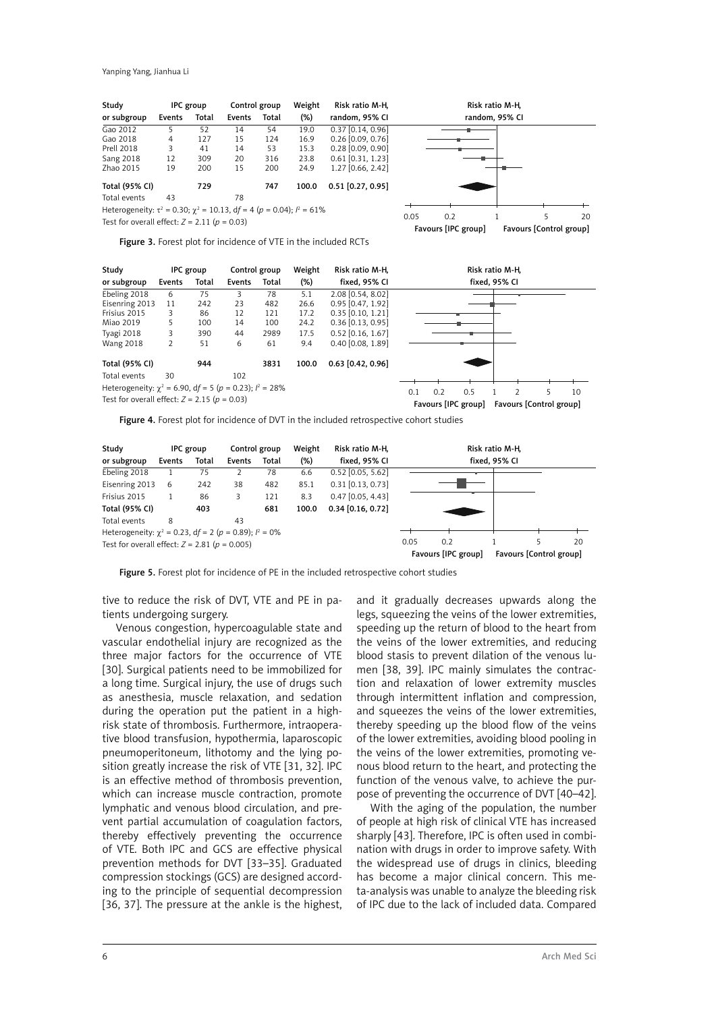| Study                                                                            |        | IPC group | Control group |       | Weight | Risk ratio M-H,     |      |                     | Risk ratio M-H, |                         |    |
|----------------------------------------------------------------------------------|--------|-----------|---------------|-------|--------|---------------------|------|---------------------|-----------------|-------------------------|----|
| or subgroup                                                                      | Events | Total     | Events        | Total | $(\%)$ | random, 95% CI      |      |                     | random, 95% CI  |                         |    |
| Gao 2012                                                                         | 5      | 52        | 14            | 54    | 19.0   | $0.37$ [0.14, 0.96] |      |                     |                 |                         |    |
| Gao 2018                                                                         | 4      | 127       | 15            | 124   | 16.9   | $0.26$ [0.09, 0.76] |      |                     |                 |                         |    |
| <b>Prell 2018</b>                                                                | 3      | 41        | 14            | 53    | 15.3   | $0.28$ [0.09, 0.90] |      |                     |                 |                         |    |
| <b>Sang 2018</b>                                                                 | 12     | 309       | 20            | 316   | 23.8   | $0.61$ [0.31, 1.23] |      |                     |                 |                         |    |
| Zhao 2015                                                                        | 19     | 200       | 15            | 200   | 24.9   | 1.27 [0.66, 2.42]   |      |                     |                 |                         |    |
| Total (95% CI)                                                                   |        | 729       |               | 747   | 100.0  | $0.51$ [0.27, 0.95] |      |                     |                 |                         |    |
| Total events                                                                     | 43     |           | 78            |       |        |                     |      |                     |                 |                         |    |
| Heterogeneity: $\tau^2$ = 0.30; $\chi^2$ = 10.13, df = 4 (p = 0.04); $l^2$ = 61% |        |           |               |       |        |                     |      |                     |                 |                         |    |
|                                                                                  |        |           |               |       |        |                     | 0.05 | 0.2                 |                 | 5                       | 20 |
| Test for overall effect: $Z = 2.11$ ( $p = 0.03$ )                               |        |           |               |       |        |                     |      | Favours [IPC group] |                 | Favours [Control group] |    |

Figure 3. Forest plot for incidence of VTE in the included RCTs



Figure 4. Forest plot for incidence of DVT in the included retrospective cohort studies



Figure 5. Forest plot for incidence of PE in the included retrospective cohort studies

tive to reduce the risk of DVT, VTE and PE in patients undergoing surgery.

Venous congestion, hypercoagulable state and vascular endothelial injury are recognized as the three major factors for the occurrence of VTE [30]. Surgical patients need to be immobilized for a long time. Surgical injury, the use of drugs such as anesthesia, muscle relaxation, and sedation during the operation put the patient in a highrisk state of thrombosis. Furthermore, intraoperative blood transfusion, hypothermia, laparoscopic pneumoperitoneum, lithotomy and the lying position greatly increase the risk of VTE [31, 32]. IPC is an effective method of thrombosis prevention, which can increase muscle contraction, promote lymphatic and venous blood circulation, and prevent partial accumulation of coagulation factors, thereby effectively preventing the occurrence of VTE. Both IPC and GCS are effective physical prevention methods for DVT [33–35]. Graduated compression stockings (GCS) are designed according to the principle of sequential decompression [36, 37]. The pressure at the ankle is the highest,

and it gradually decreases upwards along the legs, squeezing the veins of the lower extremities, speeding up the return of blood to the heart from the veins of the lower extremities, and reducing blood stasis to prevent dilation of the venous lumen [38, 39]. IPC mainly simulates the contraction and relaxation of lower extremity muscles through intermittent inflation and compression, and squeezes the veins of the lower extremities, thereby speeding up the blood flow of the veins of the lower extremities, avoiding blood pooling in the veins of the lower extremities, promoting venous blood return to the heart, and protecting the function of the venous valve, to achieve the purpose of preventing the occurrence of DVT [40–42].

With the aging of the population, the number of people at high risk of clinical VTE has increased sharply [43]. Therefore, IPC is often used in combination with drugs in order to improve safety. With the widespread use of drugs in clinics, bleeding has become a major clinical concern. This meta-analysis was unable to analyze the bleeding risk of IPC due to the lack of included data. Compared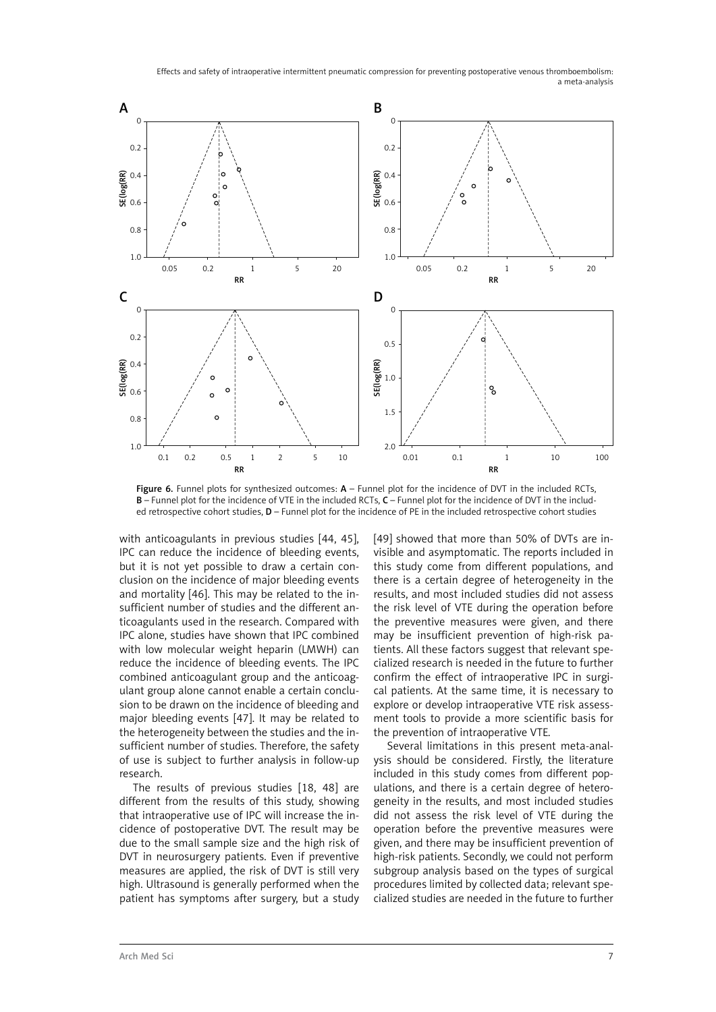

Figure 6. Funnel plots for synthesized outcomes:  $A$  – Funnel plot for the incidence of DVT in the included RCTs, B – Funnel plot for the incidence of VTE in the included RCTs, C – Funnel plot for the incidence of DVT in the included retrospective cohort studies, D – Funnel plot for the incidence of PE in the included retrospective cohort studies

with anticoagulants in previous studies [44, 45], IPC can reduce the incidence of bleeding events, but it is not yet possible to draw a certain conclusion on the incidence of major bleeding events and mortality [46]. This may be related to the insufficient number of studies and the different anticoagulants used in the research. Compared with IPC alone, studies have shown that IPC combined with low molecular weight heparin (LMWH) can reduce the incidence of bleeding events. The IPC combined anticoagulant group and the anticoagulant group alone cannot enable a certain conclusion to be drawn on the incidence of bleeding and major bleeding events [47]. It may be related to the heterogeneity between the studies and the insufficient number of studies. Therefore, the safety of use is subject to further analysis in follow-up research.

The results of previous studies [18, 48] are different from the results of this study, showing that intraoperative use of IPC will increase the incidence of postoperative DVT. The result may be due to the small sample size and the high risk of DVT in neurosurgery patients. Even if preventive measures are applied, the risk of DVT is still very high. Ultrasound is generally performed when the patient has symptoms after surgery, but a study

[49] showed that more than 50% of DVTs are invisible and asymptomatic. The reports included in this study come from different populations, and there is a certain degree of heterogeneity in the results, and most included studies did not assess the risk level of VTE during the operation before the preventive measures were given, and there may be insufficient prevention of high-risk patients. All these factors suggest that relevant specialized research is needed in the future to further confirm the effect of intraoperative IPC in surgical patients. At the same time, it is necessary to explore or develop intraoperative VTE risk assessment tools to provide a more scientific basis for the prevention of intraoperative VTE.

Several limitations in this present meta-analysis should be considered. Firstly, the literature included in this study comes from different populations, and there is a certain degree of heterogeneity in the results, and most included studies did not assess the risk level of VTE during the operation before the preventive measures were given, and there may be insufficient prevention of high-risk patients. Secondly, we could not perform subgroup analysis based on the types of surgical procedures limited by collected data; relevant specialized studies are needed in the future to further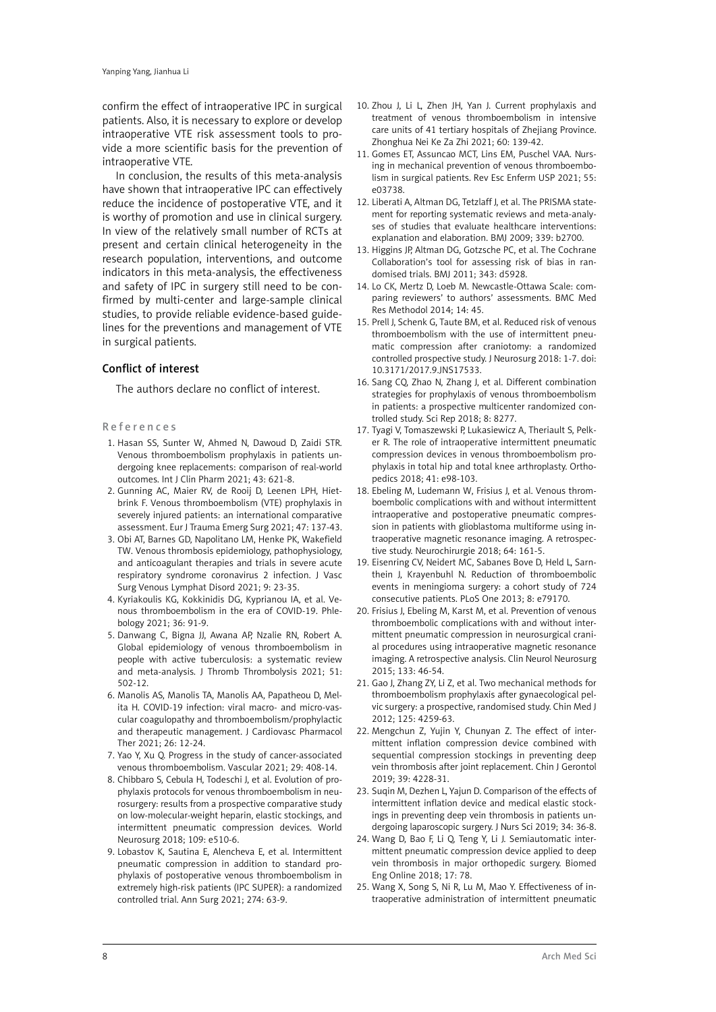confirm the effect of intraoperative IPC in surgical patients. Also, it is necessary to explore or develop intraoperative VTE risk assessment tools to provide a more scientific basis for the prevention of intraoperative VTE.

In conclusion, the results of this meta-analysis have shown that intraoperative IPC can effectively reduce the incidence of postoperative VTE, and it is worthy of promotion and use in clinical surgery. In view of the relatively small number of RCTs at present and certain clinical heterogeneity in the research population, interventions, and outcome indicators in this meta-analysis, the effectiveness and safety of IPC in surgery still need to be confirmed by multi-center and large-sample clinical studies, to provide reliable evidence-based guidelines for the preventions and management of VTE in surgical patients.

#### Conflict of interest

The authors declare no conflict of interest.

#### R e f e r e n c e s

- 1. Hasan SS, Sunter W, Ahmed N, Dawoud D, Zaidi STR. Venous thromboembolism prophylaxis in patients undergoing knee replacements: comparison of real-world outcomes. Int J Clin Pharm 2021; 43: 621-8.
- 2. Gunning AC, Maier RV, de Rooij D, Leenen LPH, Hietbrink F. Venous thromboembolism (VTE) prophylaxis in severely injured patients: an international comparative assessment. Eur J Trauma Emerg Surg 2021; 47: 137-43.
- 3. Obi AT, Barnes GD, Napolitano LM, Henke PK, Wakefield TW. Venous thrombosis epidemiology, pathophysiology, and anticoagulant therapies and trials in severe acute respiratory syndrome coronavirus 2 infection. J Vasc Surg Venous Lymphat Disord 2021; 9: 23-35.
- 4. Kyriakoulis KG, Kokkinidis DG, Kyprianou IA, et al. Venous thromboembolism in the era of COVID-19. Phlebology 2021; 36: 91-9.
- 5. Danwang C, Bigna JJ, Awana AP, Nzalie RN, Robert A. Global epidemiology of venous thromboembolism in people with active tuberculosis: a systematic review and meta-analysis. J Thromb Thrombolysis 2021; 51: 502-12.
- 6. Manolis AS, Manolis TA, Manolis AA, Papatheou D, Melita H. COVID-19 infection: viral macro- and micro-vascular coagulopathy and thromboembolism/prophylactic and therapeutic management. J Cardiovasc Pharmacol Ther 2021; 26: 12-24.
- 7. Yao Y, Xu Q. Progress in the study of cancer-associated venous thromboembolism. Vascular 2021; 29: 408-14.
- 8. Chibbaro S, Cebula H, Todeschi J, et al. Evolution of prophylaxis protocols for venous thromboembolism in neurosurgery: results from a prospective comparative study on low-molecular-weight heparin, elastic stockings, and intermittent pneumatic compression devices. World Neurosurg 2018; 109: e510-6.
- 9. Lobastov K, Sautina E, Alencheva E, et al. Intermittent pneumatic compression in addition to standard prophylaxis of postoperative venous thromboembolism in extremely high-risk patients (IPC SUPER): a randomized controlled trial. Ann Surg 2021; 274: 63-9.
- 10. Zhou J, Li L, Zhen JH, Yan J. Current prophylaxis and treatment of venous thromboembolism in intensive care units of 41 tertiary hospitals of Zhejiang Province. Zhonghua Nei Ke Za Zhi 2021; 60: 139-42.
- 11. Gomes ET, Assuncao MCT, Lins EM, Puschel VAA. Nursing in mechanical prevention of venous thromboembolism in surgical patients. Rev Esc Enferm USP 2021; 55: e03738.
- 12. Liberati A, Altman DG, Tetzlaff J, et al. The PRISMA statement for reporting systematic reviews and meta-analyses of studies that evaluate healthcare interventions: explanation and elaboration. BMJ 2009; 339: b2700.
- 13. Higgins JP, Altman DG, Gotzsche PC, et al. The Cochrane Collaboration's tool for assessing risk of bias in randomised trials. BMJ 2011; 343: d5928.
- 14. Lo CK, Mertz D, Loeb M. Newcastle-Ottawa Scale: comparing reviewers' to authors' assessments. BMC Med Res Methodol 2014; 14: 45.
- 15. Prell J, Schenk G, Taute BM, et al. Reduced risk of venous thromboembolism with the use of intermittent pneumatic compression after craniotomy: a randomized controlled prospective study. J Neurosurg 2018: 1-7. doi: 10.3171/2017.9.JNS17533.
- 16. Sang CQ, Zhao N, Zhang J, et al. Different combination strategies for prophylaxis of venous thromboembolism in patients: a prospective multicenter randomized controlled study. Sci Rep 2018; 8: 8277.
- 17. Tyagi V, Tomaszewski P, Lukasiewicz A, Theriault S, Pelker R. The role of intraoperative intermittent pneumatic compression devices in venous thromboembolism prophylaxis in total hip and total knee arthroplasty. Orthopedics 2018; 41: e98-103.
- 18. Ebeling M, Ludemann W, Frisius J, et al. Venous thromboembolic complications with and without intermittent intraoperative and postoperative pneumatic compression in patients with glioblastoma multiforme using intraoperative magnetic resonance imaging. A retrospective study. Neurochirurgie 2018; 64: 161-5.
- 19. Eisenring CV, Neidert MC, Sabanes Bove D, Held L, Sarnthein J, Krayenbuhl N. Reduction of thromboembolic events in meningioma surgery: a cohort study of 724 consecutive patients. PLoS One 2013; 8: e79170.
- 20. Frisius J, Ebeling M, Karst M, et al. Prevention of venous thromboembolic complications with and without intermittent pneumatic compression in neurosurgical cranial procedures using intraoperative magnetic resonance imaging. A retrospective analysis. Clin Neurol Neurosurg 2015; 133: 46-54.
- 21. Gao J, Zhang ZY, Li Z, et al. Two mechanical methods for thromboembolism prophylaxis after gynaecological pelvic surgery: a prospective, randomised study. Chin Med J 2012; 125: 4259-63.
- 22. Mengchun Z, Yujin Y, Chunyan Z. The effect of intermittent inflation compression device combined with sequential compression stockings in preventing deep vein thrombosis after joint replacement. Chin J Gerontol 2019; 39: 4228-31.
- 23. Suqin M, Dezhen L, Yajun D. Comparison of the effects of intermittent inflation device and medical elastic stockings in preventing deep vein thrombosis in patients undergoing laparoscopic surgery. J Nurs Sci 2019; 34: 36-8.
- 24. Wang D, Bao F, Li Q, Teng Y, Li J. Semiautomatic intermittent pneumatic compression device applied to deep vein thrombosis in major orthopedic surgery. Biomed Eng Online 2018; 17: 78.
- 25. Wang X, Song S, Ni R, Lu M, Mao Y. Effectiveness of intraoperative administration of intermittent pneumatic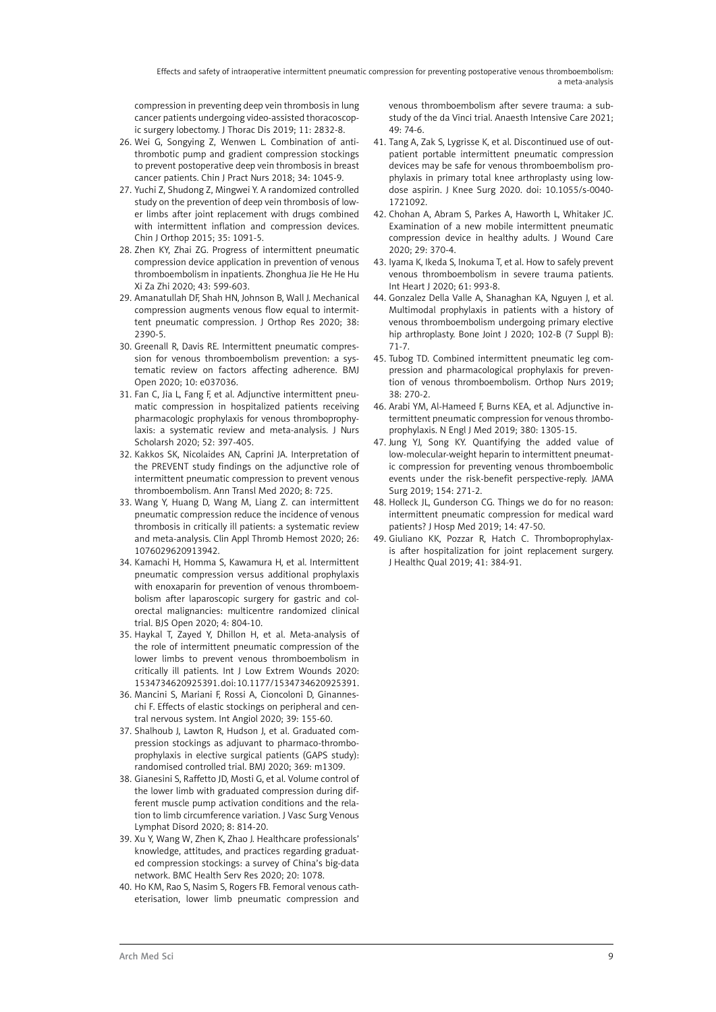compression in preventing deep vein thrombosis in lung cancer patients undergoing video-assisted thoracoscopic surgery lobectomy. J Thorac Dis 2019; 11: 2832-8.

- 26. Wei G, Songying Z, Wenwen L. Combination of antithrombotic pump and gradient compression stockings to prevent postoperative deep vein thrombosis in breast cancer patients. Chin J Pract Nurs 2018; 34: 1045-9.
- 27. Yuchi Z, Shudong Z, Mingwei Y. A randomized controlled study on the prevention of deep vein thrombosis of lower limbs after joint replacement with drugs combined with intermittent inflation and compression devices. Chin J Orthop 2015; 35: 1091-5.
- 28. Zhen KY, Zhai ZG. Progress of intermittent pneumatic compression device application in prevention of venous thromboembolism in inpatients. Zhonghua Jie He He Hu Xi Za Zhi 2020; 43: 599-603.
- 29. Amanatullah DF, Shah HN, Johnson B, Wall J. Mechanical compression augments venous flow equal to intermittent pneumatic compression. J Orthop Res 2020; 38: 2390-5.
- 30. Greenall R, Davis RE. Intermittent pneumatic compression for venous thromboembolism prevention: a systematic review on factors affecting adherence. BMJ Open 2020; 10: e037036.
- 31. Fan C, Jia L, Fang F, et al. Adjunctive intermittent pneumatic compression in hospitalized patients receiving pharmacologic prophylaxis for venous thromboprophylaxis: a systematic review and meta-analysis. J Nurs Scholarsh 2020; 52: 397-405.
- 32. Kakkos SK, Nicolaides AN, Caprini JA. Interpretation of the PREVENT study findings on the adjunctive role of intermittent pneumatic compression to prevent venous thromboembolism. Ann Transl Med 2020; 8: 725.
- 33. Wang Y, Huang D, Wang M, Liang Z. can intermittent pneumatic compression reduce the incidence of venous thrombosis in critically ill patients: a systematic review and meta-analysis. Clin Appl Thromb Hemost 2020; 26: 1076029620913942.
- 34. Kamachi H, Homma S, Kawamura H, et al. Intermittent pneumatic compression versus additional prophylaxis with enoxaparin for prevention of venous thromboembolism after laparoscopic surgery for gastric and colorectal malignancies: multicentre randomized clinical trial. BJS Open 2020; 4: 804-10.
- 35. Haykal T, Zayed Y, Dhillon H, et al. Meta-analysis of the role of intermittent pneumatic compression of the lower limbs to prevent venous thromboembolism in critically ill patients. Int J Low Extrem Wounds 2020: 1534734620925391. doi: 10.1177/1534734620925391.
- 36. Mancini S, Mariani F, Rossi A, Cioncoloni D, Ginanneschi F. Effects of elastic stockings on peripheral and central nervous system. Int Angiol 2020; 39: 155-60.
- 37. Shalhoub J, Lawton R, Hudson J, et al. Graduated compression stockings as adjuvant to pharmaco-thromboprophylaxis in elective surgical patients (GAPS study): randomised controlled trial. BMJ 2020; 369: m1309.
- 38. Gianesini S, Raffetto JD, Mosti G, et al. Volume control of the lower limb with graduated compression during different muscle pump activation conditions and the relation to limb circumference variation. J Vasc Surg Venous Lymphat Disord 2020; 8: 814-20.
- 39. Xu Y, Wang W, Zhen K, Zhao J. Healthcare professionals' knowledge, attitudes, and practices regarding graduated compression stockings: a survey of China's big-data network. BMC Health Serv Res 2020; 20: 1078.
- 40. Ho KM, Rao S, Nasim S, Rogers FB. Femoral venous catheterisation, lower limb pneumatic compression and

venous thromboembolism after severe trauma: a substudy of the da Vinci trial. Anaesth Intensive Care 2021; 49: 74-6.

- 41. Tang A, Zak S, Lygrisse K, et al. Discontinued use of outpatient portable intermittent pneumatic compression devices may be safe for venous thromboembolism prophylaxis in primary total knee arthroplasty using lowdose aspirin. J Knee Surg 2020. doi: 10.1055/s-0040- 1721092.
- 42. Chohan A, Abram S, Parkes A, Haworth L, Whitaker JC. Examination of a new mobile intermittent pneumatic compression device in healthy adults. J Wound Care 2020; 29: 370-4.
- 43. Iyama K, Ikeda S, Inokuma T, et al. How to safely prevent venous thromboembolism in severe trauma patients. Int Heart J 2020; 61: 993-8.
- 44. Gonzalez Della Valle A, Shanaghan KA, Nguyen J, et al. Multimodal prophylaxis in patients with a history of venous thromboembolism undergoing primary elective hip arthroplasty. Bone Joint J 2020; 102-B (7 Suppl B): 71-7.
- 45. Tubog TD. Combined intermittent pneumatic leg compression and pharmacological prophylaxis for prevention of venous thromboembolism. Orthop Nurs 2019; 38: 270-2.
- 46. Arabi YM, Al-Hameed F, Burns KEA, et al. Adjunctive intermittent pneumatic compression for venous thromboprophylaxis. N Engl J Med 2019; 380: 1305-15.
- 47. Jung YJ, Song KY. Quantifying the added value of low-molecular-weight heparin to intermittent pneumatic compression for preventing venous thromboembolic events under the risk-benefit perspective-reply. JAMA Surg 2019; 154: 271-2.
- 48. Holleck JL, Gunderson CG. Things we do for no reason: intermittent pneumatic compression for medical ward patients? J Hosp Med 2019; 14: 47-50.
- 49. Giuliano KK, Pozzar R, Hatch C. Thromboprophylaxis after hospitalization for joint replacement surgery. J Healthc Qual 2019; 41: 384-91.